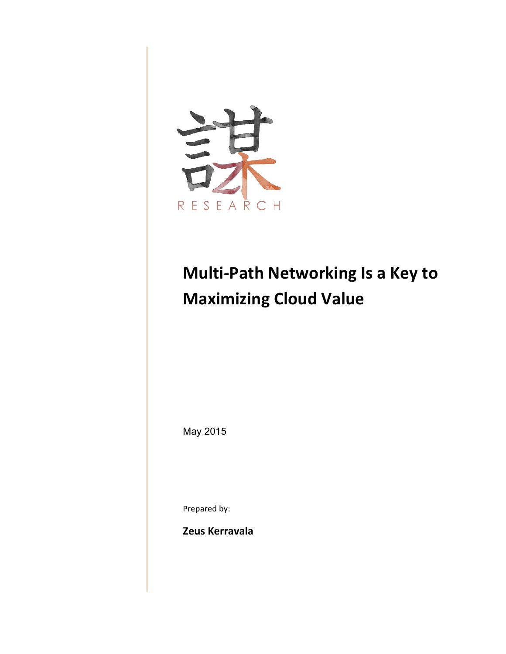

# **Multi-Path Networking Is a Key to Maximizing Cloud Value**

May 2015

Prepared by:

**Zeus Kerravala**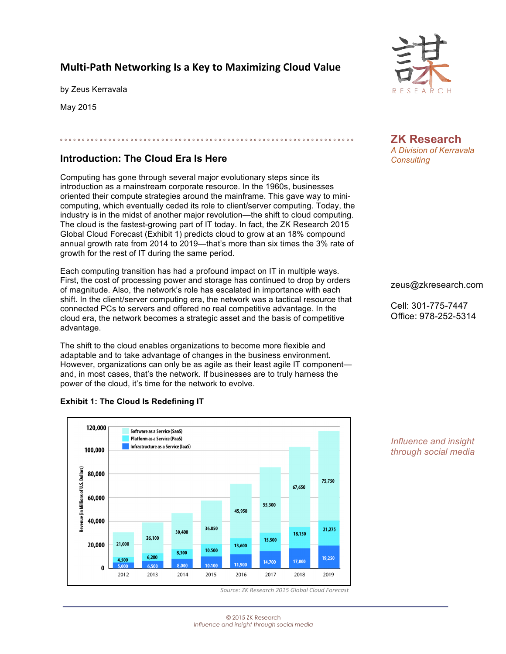## **Multi-Path Networking Is a Key to Maximizing Cloud Value**

by Zeus Kerravala

May 2015

## **Introduction: The Cloud Era Is Here**

Computing has gone through several major evolutionary steps since its introduction as a mainstream corporate resource. In the 1960s, businesses oriented their compute strategies around the mainframe. This gave way to minicomputing, which eventually ceded its role to client/server computing. Today, the industry is in the midst of another major revolution—the shift to cloud computing. The cloud is the fastest-growing part of IT today. In fact, the ZK Research 2015 Global Cloud Forecast (Exhibit 1) predicts cloud to grow at an 18% compound annual growth rate from 2014 to 2019—that's more than six times the 3% rate of growth for the rest of IT during the same period.

º º º º º º º º º º º º º º º º º º º º º º º º º º º º º º º º º º º º º º º º º º º º º º º º º º º º º º º º º º º º º º º º º º º

Each computing transition has had a profound impact on IT in multiple ways. First, the cost of processing power and storage has continued to drop by orders of magnitude. Also, the network's role has escalated in importance with each shift. In the client/server computing era, the network was a tactical resource that connected PCs to servers and offered no real competitive advantage. In the cloud era, the network becomes a strategic asset and the basis of competitive advantage.

The shift to the cloud enables organizations to become more flexible and adaptable and to take advantage of changes in the business environment. However, organizations can only be as agile as their least agile IT component and, in most cases, that's the network. If businesses are to truly harness the power of the cloud, it's time for the network to evolve.



#### **Exhibit 1: The Cloud Is Redefining IT**



**ZK Research** *A Division of Kerravala Consulting* 

#### zeus@zkresearch.com

Cell: 301-775-7447 Office: 978-252-5314

#### *Influence and insight through social media*

*Source: ZK Research 2015 Global Cloud Forecast*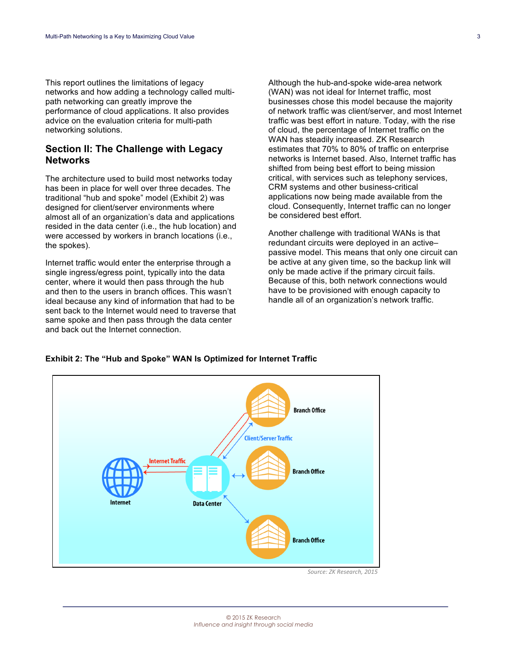This report outlines the limitations of legacy networks and how adding a technology called multipath networking can greatly improve the performance of cloud applications. It also provides advice on the evaluation criteria for multi-path networking solutions.

#### **Section II: The Challenge with Legacy Networks**

The architecture used to build most networks today has been in place for well over three decades. The traditional "hub and spoke" model (Exhibit 2) was designed for client/server environments where almost all of an organization's data and applications resided in the data center (i.e., the hub location) and were accessed by workers in branch locations (i.e., the spokes).

Internet traffic would enter the enterprise through a single ingress/egress point, typically into the data center, where it would then pass through the hub and then to the users in branch offices. This wasn't ideal because any kind of information that had to be sent back to the Internet would need to traverse that same spoke and then pass through the data center and back out the Internet connection.

Although the hub-and-spoke wide-area network (WAN) was not ideal for Internet traffic, most businesses chose this model because the majority of network traffic was client/server, and most Internet traffic was best effort in nature. Today, with the rise of cloud, the percentage of Internet traffic on the WAN has steadily increased. ZK Research estimates that 70% to 80% of traffic on enterprise networks is Internet based. Also, Internet traffic has shifted from being best effort to being mission critical, with services such as telephony services, CRM systems and other business-critical applications now being made available from the cloud. Consequently, Internet traffic can no longer be considered best effort.

Another challenge with traditional WANs is that redundant circuits were deployed in an active– passive model. This means that only one circuit can be active at any given time, so the backup link will only be made active if the primary circuit fails. Because of this, both network connections would have to be provisioned with enough capacity to handle all of an organization's network traffic.

#### **Exhibit 2: The "Hub and Spoke" WAN Is Optimized for Internet Traffic**



*Source: ZK Research, 2015*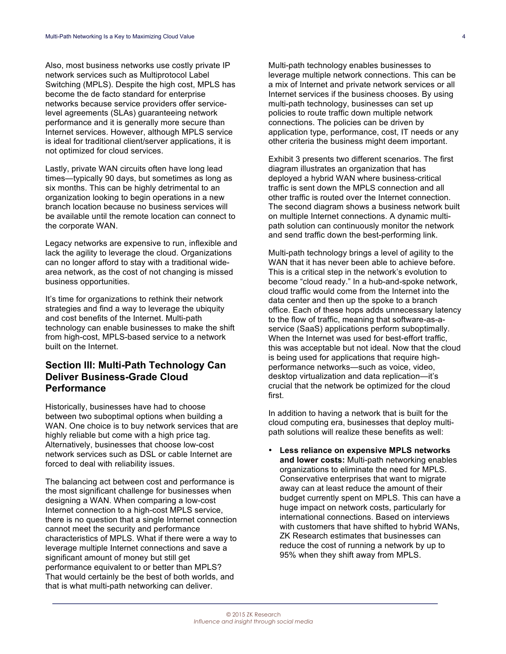Also, most business networks use costly private IP network services such as Multiprotocol Label Switching (MPLS). Despite the high cost, MPLS has become the de facto standard for enterprise networks because service providers offer servicelevel agreements (SLAs) guaranteeing network performance and it is generally more secure than Internet services. However, although MPLS service is ideal for traditional client/server applications, it is not optimized for cloud services.

Lastly, private WAN circuits often have long lead times—typically 90 days, but sometimes as long as six months. This can be highly detrimental to an organization looking to begin operations in a new branch location because no business services will be available until the remote location can connect to the corporate WAN.

Legacy networks are expensive to run, inflexible and lack the agility to leverage the cloud. Organizations can no longer afford to stay with a traditional widearea network, as the cost of not changing is missed business opportunities.

It's time for organizations to rethink their network strategies and find a way to leverage the ubiquity and cost benefits of the Internet. Multi-path technology can enable businesses to make the shift from high-cost, MPLS-based service to a network built on the Internet.

### **Section III: Multi-Path Technology Can Deliver Business-Grade Cloud Performance**

Historically, businesses have had to choose between two suboptimal options when building a WAN. One choice is to buy network services that are highly reliable but come with a high price tag. Alternatively, businesses that choose low-cost network services such as DSL or cable Internet are forced to deal with reliability issues.

The balancing act between cost and performance is the most significant challenge for businesses when designing a WAN. When comparing a low-cost Internet connection to a high-cost MPLS service, there is no question that a single Internet connection cannot meet the security and performance characteristics of MPLS. What if there were a way to leverage multiple Internet connections and save a significant amount of money but still get performance equivalent to or better than MPLS? That would certainly be the best of both worlds, and that is what multi-path networking can deliver.

Multi-path technology enables businesses to leverage multiple network connections. This can be a mix of Internet and private network services or all Internet services if the business chooses. By using multi-path technology, businesses can set up policies to route traffic down multiple network connections. The policies can be driven by application type, performance, cost, IT needs or any other criteria the business might deem important.

Exhibit 3 presents two different scenarios. The first diagram illustrates an organization that has deployed a hybrid WAN where business-critical traffic is sent down the MPLS connection and all other traffic is routed over the Internet connection. The second diagram shows a business network built on multiple Internet connections. A dynamic multipath solution can continuously monitor the network and send traffic down the best-performing link.

Multi-path technology brings a level of agility to the WAN that it has never been able to achieve before. This is a critical step in the network's evolution to become "cloud ready." In a hub-and-spoke network, cloud traffic would come from the Internet into the data center and then up the spoke to a branch office. Each of these hops adds unnecessary latency to the flow of traffic, meaning that software-as-aservice (SaaS) applications perform suboptimally. When the Internet was used for best-effort traffic, this was acceptable but not ideal. Now that the cloud is being used for applications that require highperformance networks—such as voice, video, desktop virtualization and data replication—it's crucial that the network be optimized for the cloud first.

In addition to having a network that is built for the cloud computing era, businesses that deploy multipath solutions will realize these benefits as well:

• **Less reliance on expensive MPLS networks and lower costs:** Multi-path networking enables organizations to eliminate the need for MPLS. Conservative enterprises that want to migrate away can at least reduce the amount of their budget currently spent on MPLS. This can have a huge impact on network costs, particularly for international connections. Based on interviews with customers that have shifted to hybrid WANs, ZK Research estimates that businesses can reduce the cost of running a network by up to 95% when they shift away from MPLS.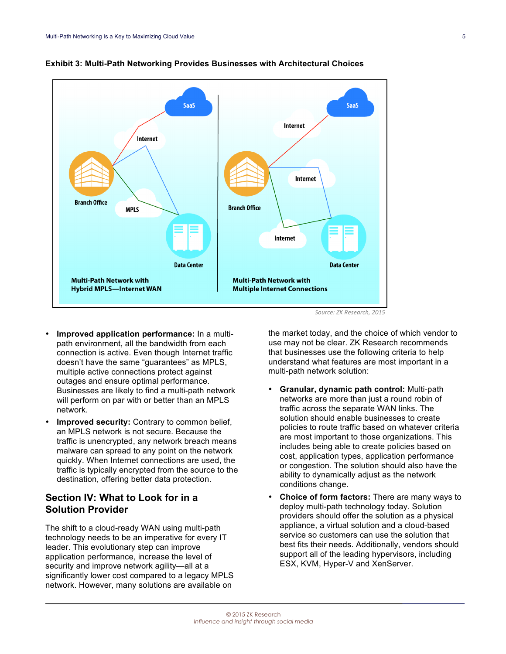

#### **Exhibit 3: Multi-Path Networking Provides Businesses with Architectural Choices**

*Source: ZK Research, 2015*

- **Improved application performance:** In a multipath environment, all the bandwidth from each connection is active. Even though Internet traffic doesn't have the same "guarantees" as MPLS, multiple active connections protect against outages and ensure optimal performance. Businesses are likely to find a multi-path network will perform on par with or better than an MPLS network.
- **Improved security:** Contrary to common belief, an MPLS network is not secure. Because the traffic is unencrypted, any network breach means malware can spread to any point on the network quickly. When Internet connections are used, the traffic is typically encrypted from the source to the destination, offering better data protection.

### **Section IV: What to Look for in a Solution Provider**

The shift to a cloud-ready WAN using multi-path technology needs to be an imperative for every IT leader. This evolutionary step can improve application performance, increase the level of security and improve network agility-all at a significantly lower cost compared to a legacy MPLS network. However, many solutions are available on

the market today, and the choice of which vendor to use may not be clear. ZK Research recommends that businesses use the following criteria to help understand what features are most important in a multi-path network solution:

- **Granular, dynamic path control:** Multi-path networks are more than just a round robin of traffic across the separate WAN links. The solution should enable businesses to create policies to route traffic based on whatever criteria are most important to those organizations. This includes being able to create policies based on cost, application types, application performance or congestion. The solution should also have the ability to dynamically adjust as the network conditions change.
- **Choice of form factors:** There are many ways to deploy multi-path technology today. Solution providers should offer the solution as a physical appliance, a virtual solution and a cloud-based service so customers can use the solution that best fits their needs. Additionally, vendors should support all of the leading hypervisors, including ESX, KVM, Hyper-V and XenServer.